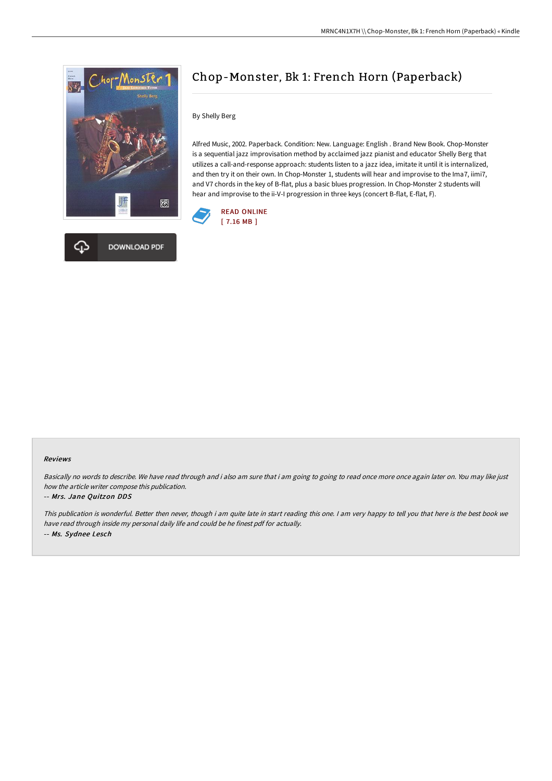



## Chop-Monster, Bk 1: French Horn (Paperback)

By Shelly Berg

Alfred Music, 2002. Paperback. Condition: New. Language: English . Brand New Book. Chop-Monster is a sequential jazz improvisation method by acclaimed jazz pianist and educator Shelly Berg that utilizes a call-and-response approach: students listen to a jazz idea, imitate it until it is internalized, and then try it on their own. In Chop-Monster 1, students will hear and improvise to the Ima7, iimi7, and V7 chords in the key of B-flat, plus a basic blues progression. In Chop-Monster 2 students will hear and improvise to the ii-V-I progression in three keys (concert B-flat, E-flat, F).



## Reviews

Basically no words to describe. We have read through and i also am sure that i am going to going to read once more once again later on. You may like just how the article writer compose this publication.

## -- Mrs. Jane Quitzon DDS

This publication is wonderful. Better then never, though i am quite late in start reading this one. <sup>I</sup> am very happy to tell you that here is the best book we have read through inside my personal daily life and could be he finest pdf for actually. -- Ms. Sydnee Lesch